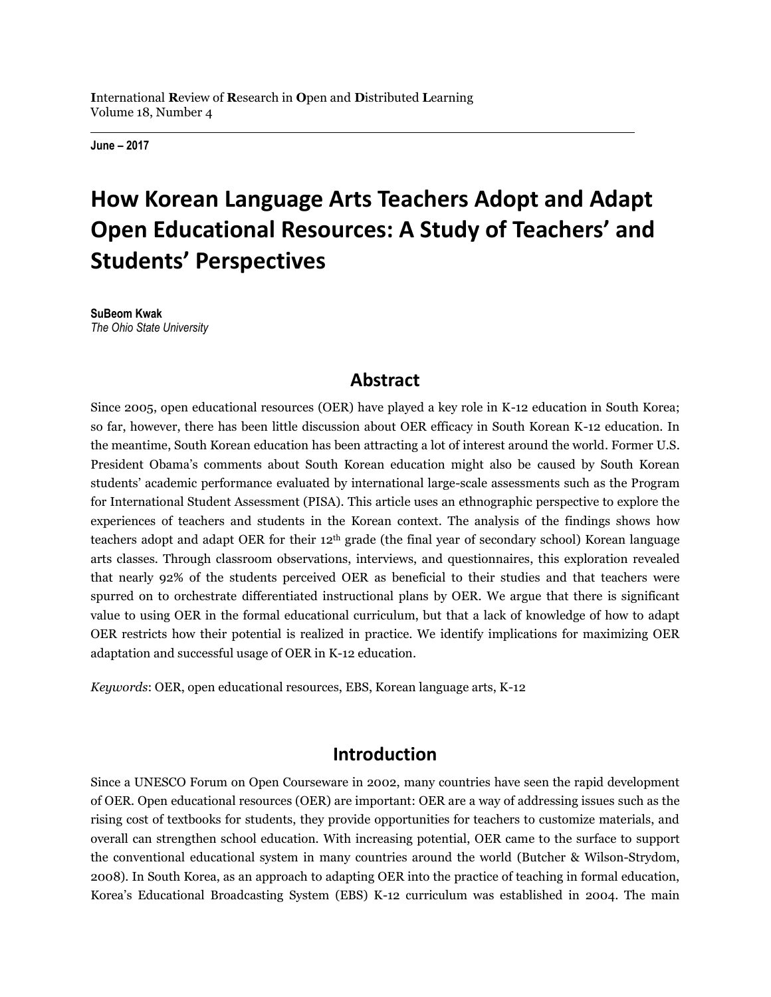**June – 2017**

# **How Korean Language Arts Teachers Adopt and Adapt Open Educational Resources: A Study of Teachers' and Students' Perspectives**

**SuBeom Kwak** *The Ohio State University*

### **Abstract**

Since 2005, open educational resources (OER) have played a key role in K-12 education in South Korea; so far, however, there has been little discussion about OER efficacy in South Korean K-12 education. In the meantime, South Korean education has been attracting a lot of interest around the world. Former U.S. President Obama's comments about South Korean education might also be caused by South Korean students' academic performance evaluated by international large-scale assessments such as the Program for International Student Assessment (PISA). This article uses an ethnographic perspective to explore the experiences of teachers and students in the Korean context. The analysis of the findings shows how teachers adopt and adapt OER for their 12th grade (the final year of secondary school) Korean language arts classes. Through classroom observations, interviews, and questionnaires, this exploration revealed that nearly 92% of the students perceived OER as beneficial to their studies and that teachers were spurred on to orchestrate differentiated instructional plans by OER. We argue that there is significant value to using OER in the formal educational curriculum, but that a lack of knowledge of how to adapt OER restricts how their potential is realized in practice. We identify implications for maximizing OER adaptation and successful usage of OER in K-12 education.

*Keywords*: OER, open educational resources, EBS, Korean language arts, K-12

### **Introduction**

Since a UNESCO Forum on Open Courseware in 2002, many countries have seen the rapid development of OER. Open educational resources (OER) are important: OER are a way of addressing issues such as the rising cost of textbooks for students, they provide opportunities for teachers to customize materials, and overall can strengthen school education. With increasing potential, OER came to the surface to support the conventional educational system in many countries around the world (Butcher & Wilson-Strydom, 2008). In South Korea, as an approach to adapting OER into the practice of teaching in formal education, Korea's Educational Broadcasting System (EBS) K-12 curriculum was established in 2004. The main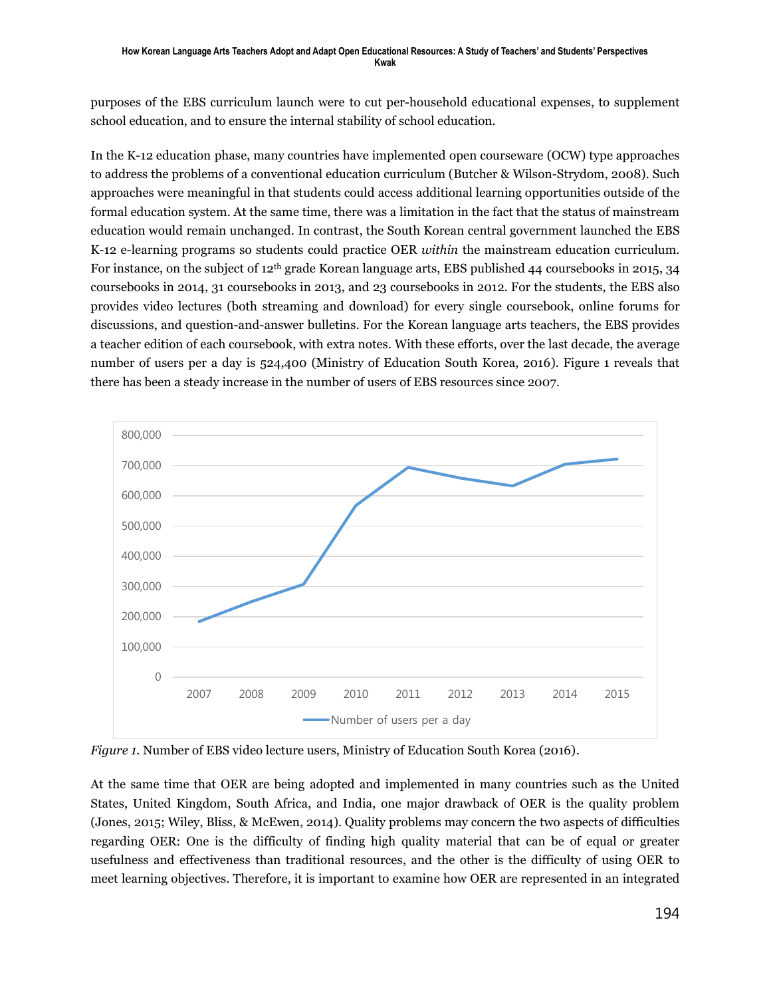purposes of the EBS curriculum launch were to cut per-household educational expenses, to supplement school education, and to ensure the internal stability of school education.

In the K-12 education phase, many countries have implemented open courseware (OCW) type approaches to address the problems of a conventional education curriculum (Butcher & Wilson-Strydom, 2008). Such approaches were meaningful in that students could access additional learning opportunities outside of the formal education system. At the same time, there was a limitation in the fact that the status of mainstream education would remain unchanged. In contrast, the South Korean central government launched the EBS K-12 e-learning programs so students could practice OER *within* the mainstream education curriculum. For instance, on the subject of 12th grade Korean language arts, EBS published 44 coursebooks in 2015, 34 coursebooks in 2014, 31 coursebooks in 2013, and 23 coursebooks in 2012. For the students, the EBS also provides video lectures (both streaming and download) for every single coursebook, online forums for discussions, and question-and-answer bulletins. For the Korean language arts teachers, the EBS provides a teacher edition of each coursebook, with extra notes. With these efforts, over the last decade, the average number of users per a day is 524,400 (Ministry of Education South Korea, 2016). Figure 1 reveals that there has been a steady increase in the number of users of EBS resources since 2007.



*Figure 1*. Number of EBS video lecture users, Ministry of Education South Korea (2016).

At the same time that OER are being adopted and implemented in many countries such as the United States, United Kingdom, South Africa, and India, one major drawback of OER is the quality problem (Jones, 2015; Wiley, Bliss, & McEwen, 2014). Quality problems may concern the two aspects of difficulties regarding OER: One is the difficulty of finding high quality material that can be of equal or greater usefulness and effectiveness than traditional resources, and the other is the difficulty of using OER to meet learning objectives. Therefore, it is important to examine how OER are represented in an integrated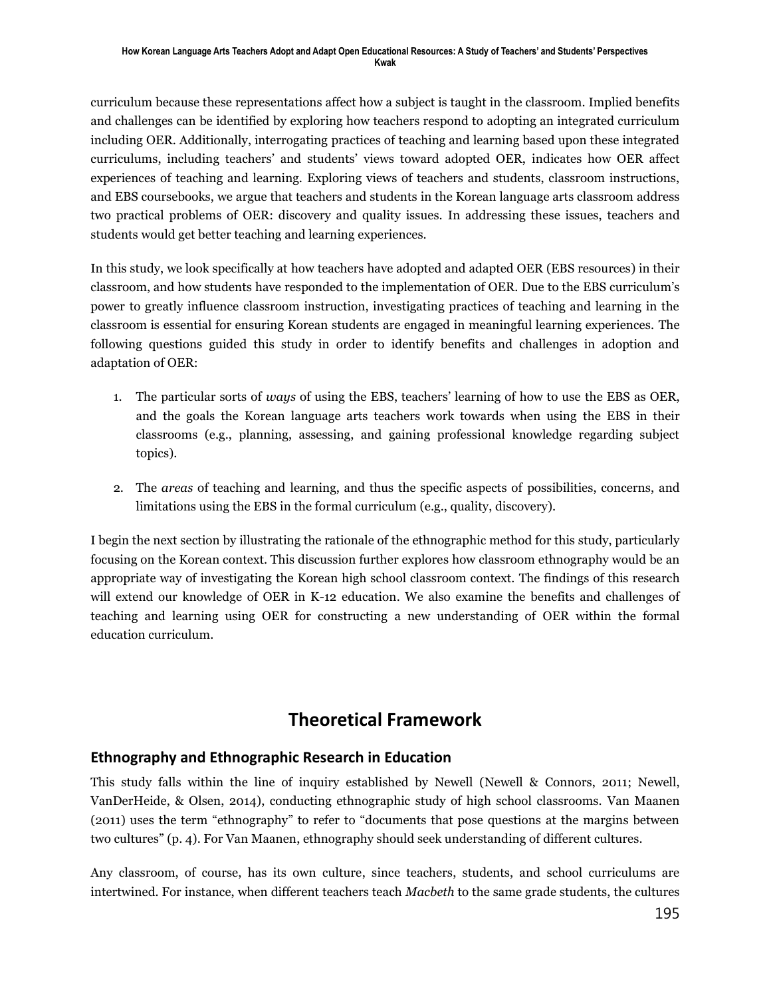curriculum because these representations affect how a subject is taught in the classroom. Implied benefits and challenges can be identified by exploring how teachers respond to adopting an integrated curriculum including OER. Additionally, interrogating practices of teaching and learning based upon these integrated curriculums, including teachers' and students' views toward adopted OER, indicates how OER affect experiences of teaching and learning. Exploring views of teachers and students, classroom instructions, and EBS coursebooks, we argue that teachers and students in the Korean language arts classroom address two practical problems of OER: discovery and quality issues. In addressing these issues, teachers and students would get better teaching and learning experiences.

In this study, we look specifically at how teachers have adopted and adapted OER (EBS resources) in their classroom, and how students have responded to the implementation of OER. Due to the EBS curriculum's power to greatly influence classroom instruction, investigating practices of teaching and learning in the classroom is essential for ensuring Korean students are engaged in meaningful learning experiences. The following questions guided this study in order to identify benefits and challenges in adoption and adaptation of OER:

- 1. The particular sorts of *ways* of using the EBS, teachers' learning of how to use the EBS as OER, and the goals the Korean language arts teachers work towards when using the EBS in their classrooms (e.g., planning, assessing, and gaining professional knowledge regarding subject topics).
- 2. The *areas* of teaching and learning, and thus the specific aspects of possibilities, concerns, and limitations using the EBS in the formal curriculum (e.g., quality, discovery).

I begin the next section by illustrating the rationale of the ethnographic method for this study, particularly focusing on the Korean context. This discussion further explores how classroom ethnography would be an appropriate way of investigating the Korean high school classroom context. The findings of this research will extend our knowledge of OER in K-12 education. We also examine the benefits and challenges of teaching and learning using OER for constructing a new understanding of OER within the formal education curriculum.

# **Theoretical Framework**

### **Ethnography and Ethnographic Research in Education**

This study falls within the line of inquiry established by Newell (Newell & Connors, 2011; Newell, VanDerHeide, & Olsen, 2014), conducting ethnographic study of high school classrooms. Van Maanen (2011) uses the term "ethnography" to refer to "documents that pose questions at the margins between two cultures" (p. 4). For Van Maanen, ethnography should seek understanding of different cultures.

Any classroom, of course, has its own culture, since teachers, students, and school curriculums are intertwined. For instance, when different teachers teach *Macbeth* to the same grade students, the cultures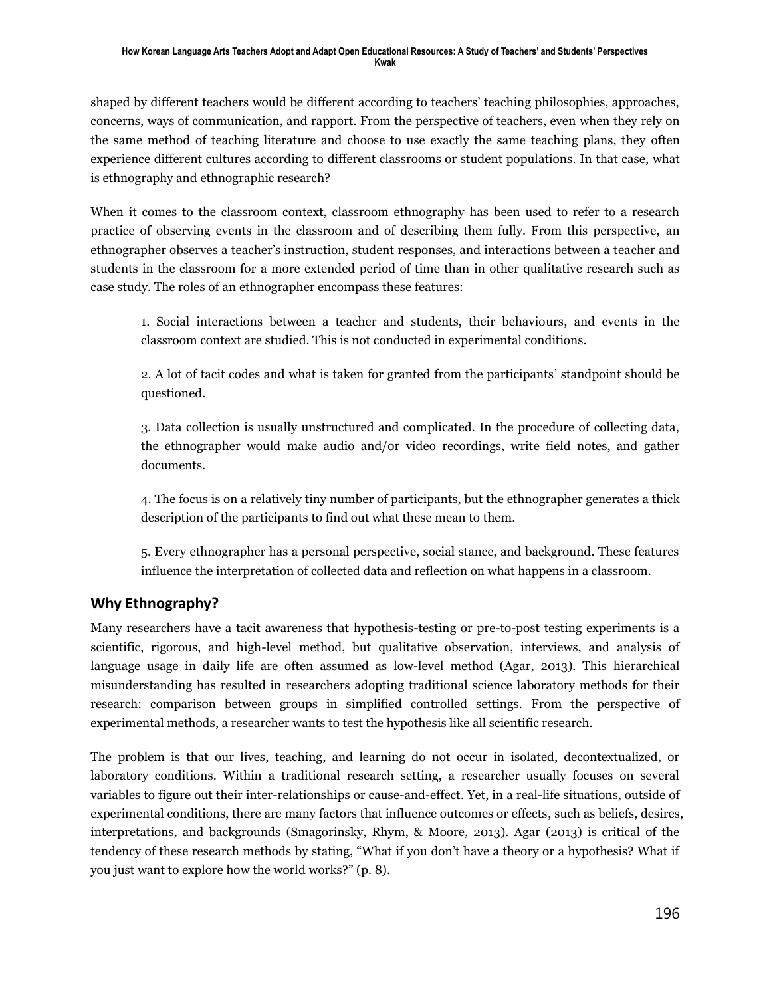shaped by different teachers would be different according to teachers' teaching philosophies, approaches, concerns, ways of communication, and rapport. From the perspective of teachers, even when they rely on the same method of teaching literature and choose to use exactly the same teaching plans, they often experience different cultures according to different classrooms or student populations. In that case, what is ethnography and ethnographic research?

When it comes to the classroom context, classroom ethnography has been used to refer to a research practice of observing events in the classroom and of describing them fully. From this perspective, an ethnographer observes a teacher's instruction, student responses, and interactions between a teacher and students in the classroom for a more extended period of time than in other qualitative research such as case study. The roles of an ethnographer encompass these features:

1. Social interactions between a teacher and students, their behaviours, and events in the classroom context are studied. This is not conducted in experimental conditions.

2. A lot of tacit codes and what is taken for granted from the participants' standpoint should be questioned.

3. Data collection is usually unstructured and complicated. In the procedure of collecting data, the ethnographer would make audio and/or video recordings, write field notes, and gather documents.

4. The focus is on a relatively tiny number of participants, but the ethnographer generates a thick description of the participants to find out what these mean to them.

5. Every ethnographer has a personal perspective, social stance, and background. These features influence the interpretation of collected data and reflection on what happens in a classroom.

### **Why Ethnography?**

Many researchers have a tacit awareness that hypothesis-testing or pre-to-post testing experiments is a scientific, rigorous, and high-level method, but qualitative observation, interviews, and analysis of language usage in daily life are often assumed as low-level method (Agar, 2013). This hierarchical misunderstanding has resulted in researchers adopting traditional science laboratory methods for their research: comparison between groups in simplified controlled settings. From the perspective of experimental methods, a researcher wants to test the hypothesis like all scientific research.

The problem is that our lives, teaching, and learning do not occur in isolated, decontextualized, or laboratory conditions. Within a traditional research setting, a researcher usually focuses on several variables to figure out their inter-relationships or cause-and-effect. Yet, in a real-life situations, outside of experimental conditions, there are many factors that influence outcomes or effects, such as beliefs, desires, interpretations, and backgrounds (Smagorinsky, Rhym, & Moore, 2013). Agar (2013) is critical of the tendency of these research methods by stating, "What if you don't have a theory or a hypothesis? What if you just want to explore how the world works?" (p. 8).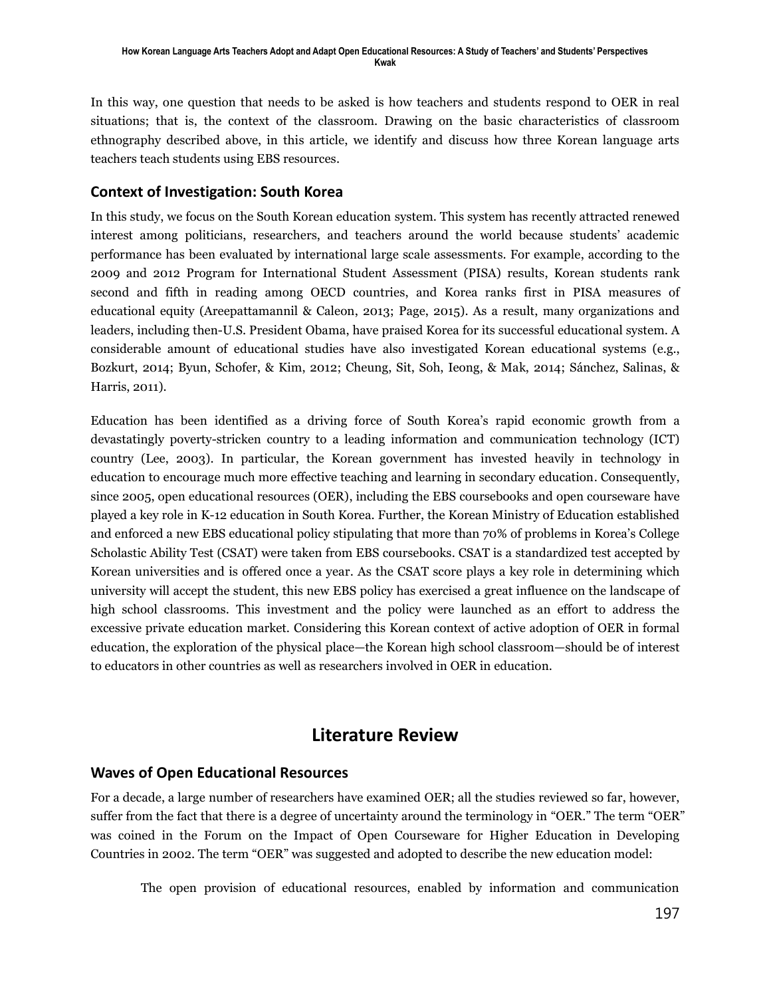In this way, one question that needs to be asked is how teachers and students respond to OER in real situations; that is, the context of the classroom. Drawing on the basic characteristics of classroom ethnography described above, in this article, we identify and discuss how three Korean language arts teachers teach students using EBS resources.

#### **Context of Investigation: South Korea**

In this study, we focus on the South Korean education system. This system has recently attracted renewed interest among politicians, researchers, and teachers around the world because students' academic performance has been evaluated by international large scale assessments. For example, according to the 2009 and 2012 Program for International Student Assessment (PISA) results, Korean students rank second and fifth in reading among OECD countries, and Korea ranks first in PISA measures of educational equity (Areepattamannil & Caleon, 2013; Page, 2015). As a result, many organizations and leaders, including then-U.S. President Obama, have praised Korea for its successful educational system. A considerable amount of educational studies have also investigated Korean educational systems (e.g., Bozkurt, 2014; Byun, Schofer, & Kim, 2012; Cheung, Sit, Soh, Ieong, & Mak, 2014; Sánchez, Salinas, & Harris, 2011).

Education has been identified as a driving force of South Korea's rapid economic growth from a devastatingly poverty-stricken country to a leading information and communication technology (ICT) country (Lee, 2003). In particular, the Korean government has invested heavily in technology in education to encourage much more effective teaching and learning in secondary education. Consequently, since 2005, open educational resources (OER), including the EBS coursebooks and open courseware have played a key role in K-12 education in South Korea. Further, the Korean Ministry of Education established and enforced a new EBS educational policy stipulating that more than 70% of problems in Korea's College Scholastic Ability Test (CSAT) were taken from EBS coursebooks. CSAT is a standardized test accepted by Korean universities and is offered once a year. As the CSAT score plays a key role in determining which university will accept the student, this new EBS policy has exercised a great influence on the landscape of high school classrooms. This investment and the policy were launched as an effort to address the excessive private education market. Considering this Korean context of active adoption of OER in formal education, the exploration of the physical place—the Korean high school classroom—should be of interest to educators in other countries as well as researchers involved in OER in education.

### **Literature Review**

#### **Waves of Open Educational Resources**

For a decade, a large number of researchers have examined OER; all the studies reviewed so far, however, suffer from the fact that there is a degree of uncertainty around the terminology in "OER." The term "OER" was coined in the Forum on the Impact of Open Courseware for Higher Education in Developing Countries in 2002. The term "OER" was suggested and adopted to describe the new education model:

The open provision of educational resources, enabled by information and communication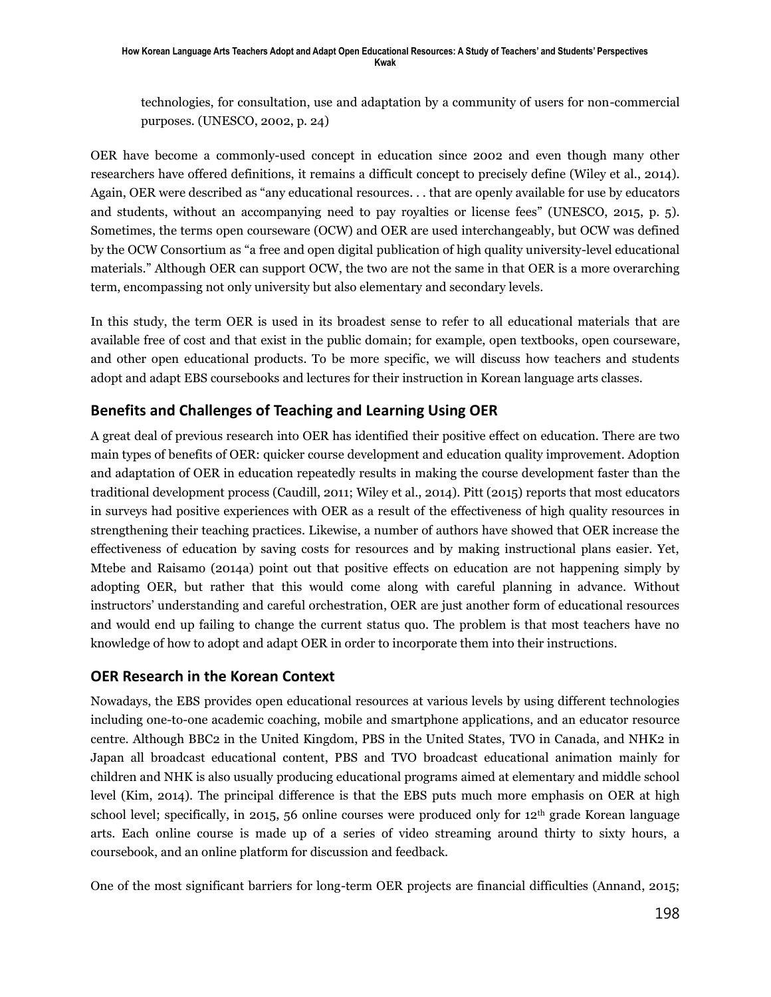technologies, for consultation, use and adaptation by a community of users for non-commercial purposes. (UNESCO, 2002, p. 24)

OER have become a commonly-used concept in education since 2002 and even though many other researchers have offered definitions, it remains a difficult concept to precisely define (Wiley et al., 2014). Again, OER were described as "any educational resources. . . that are openly available for use by educators and students, without an accompanying need to pay royalties or license fees" (UNESCO, 2015, p. 5). Sometimes, the terms open courseware (OCW) and OER are used interchangeably, but OCW was defined by the OCW Consortium as "a free and open digital publication of high quality university-level educational materials." Although OER can support OCW, the two are not the same in that OER is a more overarching term, encompassing not only university but also elementary and secondary levels.

In this study, the term OER is used in its broadest sense to refer to all educational materials that are available free of cost and that exist in the public domain; for example, open textbooks, open courseware, and other open educational products. To be more specific, we will discuss how teachers and students adopt and adapt EBS coursebooks and lectures for their instruction in Korean language arts classes.

### **Benefits and Challenges of Teaching and Learning Using OER**

A great deal of previous research into OER has identified their positive effect on education. There are two main types of benefits of OER: quicker course development and education quality improvement. Adoption and adaptation of OER in education repeatedly results in making the course development faster than the traditional development process (Caudill, 2011; Wiley et al., 2014). Pitt (2015) reports that most educators in surveys had positive experiences with OER as a result of the effectiveness of high quality resources in strengthening their teaching practices. Likewise, a number of authors have showed that OER increase the effectiveness of education by saving costs for resources and by making instructional plans easier. Yet, Mtebe and Raisamo (2014a) point out that positive effects on education are not happening simply by adopting OER, but rather that this would come along with careful planning in advance. Without instructors' understanding and careful orchestration, OER are just another form of educational resources and would end up failing to change the current status quo. The problem is that most teachers have no knowledge of how to adopt and adapt OER in order to incorporate them into their instructions.

### **OER Research in the Korean Context**

Nowadays, the EBS provides open educational resources at various levels by using different technologies including one-to-one academic coaching, mobile and smartphone applications, and an educator resource centre. Although BBC2 in the United Kingdom, PBS in the United States, TVO in Canada, and NHK2 in Japan all broadcast educational content, PBS and TVO broadcast educational animation mainly for children and NHK is also usually producing educational programs aimed at elementary and middle school level (Kim, 2014). The principal difference is that the EBS puts much more emphasis on OER at high school level; specifically, in 2015, 56 online courses were produced only for  $12<sup>th</sup>$  grade Korean language arts. Each online course is made up of a series of video streaming around thirty to sixty hours, a coursebook, and an online platform for discussion and feedback.

One of the most significant barriers for long-term OER projects are financial difficulties (Annand, 2015;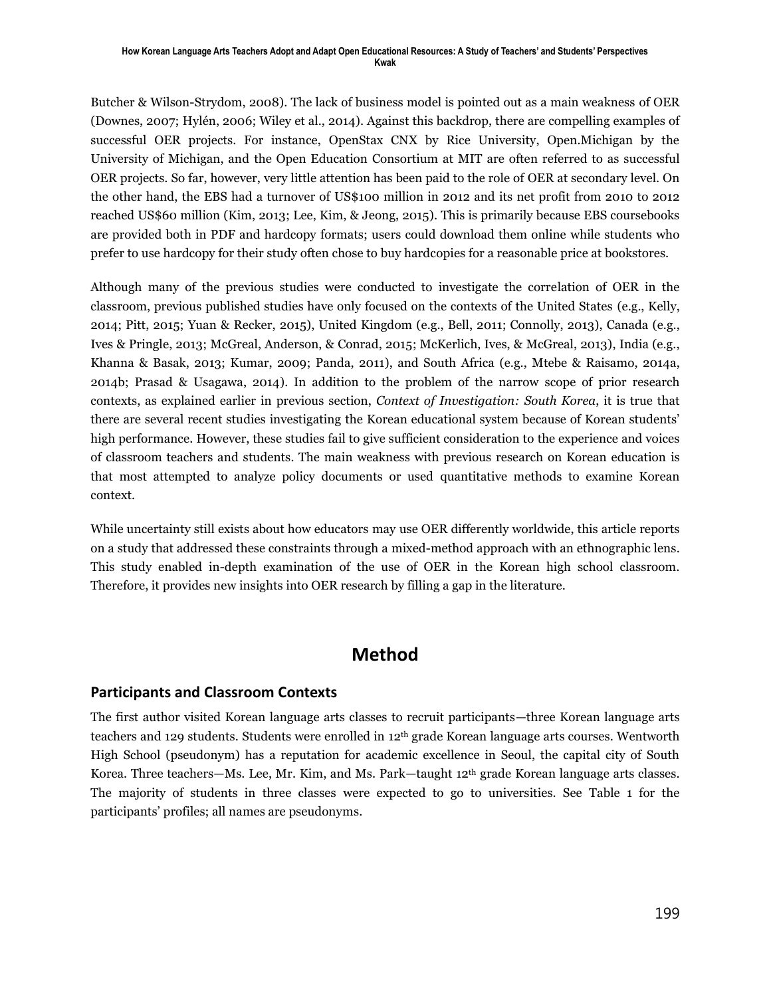Butcher & Wilson-Strydom, 2008). The lack of business model is pointed out as a main weakness of OER (Downes, 2007; Hylén, 2006; Wiley et al., 2014). Against this backdrop, there are compelling examples of successful OER projects. For instance, OpenStax CNX by Rice University, Open.Michigan by the University of Michigan, and the Open Education Consortium at MIT are often referred to as successful OER projects. So far, however, very little attention has been paid to the role of OER at secondary level. On the other hand, the EBS had a turnover of US\$100 million in 2012 and its net profit from 2010 to 2012 reached US\$60 million (Kim, 2013; Lee, Kim, & Jeong, 2015). This is primarily because EBS coursebooks are provided both in PDF and hardcopy formats; users could download them online while students who prefer to use hardcopy for their study often chose to buy hardcopies for a reasonable price at bookstores.

Although many of the previous studies were conducted to investigate the correlation of OER in the classroom, previous published studies have only focused on the contexts of the United States (e.g., Kelly, 2014; Pitt, 2015; Yuan & Recker, 2015), United Kingdom (e.g., Bell, 2011; Connolly, 2013), Canada (e.g., Ives & Pringle, 2013; McGreal, Anderson, & Conrad, 2015; McKerlich, Ives, & McGreal, 2013), India (e.g., Khanna & Basak, 2013; Kumar, 2009; Panda, 2011), and South Africa (e.g., Mtebe & Raisamo, 2014a, 2014b; Prasad & Usagawa, 2014). In addition to the problem of the narrow scope of prior research contexts, as explained earlier in previous section, *Context of Investigation: South Korea*, it is true that there are several recent studies investigating the Korean educational system because of Korean students' high performance. However, these studies fail to give sufficient consideration to the experience and voices of classroom teachers and students. The main weakness with previous research on Korean education is that most attempted to analyze policy documents or used quantitative methods to examine Korean context.

While uncertainty still exists about how educators may use OER differently worldwide, this article reports on a study that addressed these constraints through a mixed-method approach with an ethnographic lens. This study enabled in-depth examination of the use of OER in the Korean high school classroom. Therefore, it provides new insights into OER research by filling a gap in the literature.

# **Method**

### **Participants and Classroom Contexts**

The first author visited Korean language arts classes to recruit participants—three Korean language arts teachers and 129 students. Students were enrolled in 12th grade Korean language arts courses. Wentworth High School (pseudonym) has a reputation for academic excellence in Seoul, the capital city of South Korea. Three teachers—Ms. Lee, Mr. Kim, and Ms. Park—taught 12th grade Korean language arts classes. The majority of students in three classes were expected to go to universities. See Table 1 for the participants' profiles; all names are pseudonyms.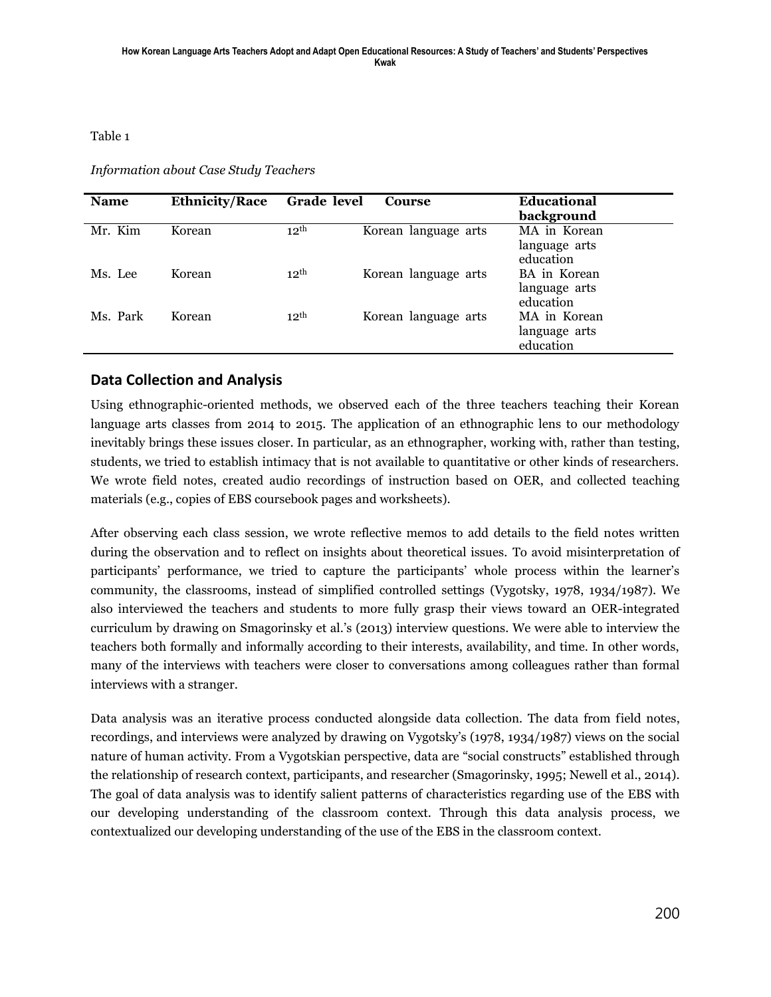Table 1

*Information about Case Study Teachers*

| <b>Name</b> | <b>Ethnicity/Race</b> | Grade level      | Course               | <b>Educational</b><br>background           |
|-------------|-----------------------|------------------|----------------------|--------------------------------------------|
| Mr. Kim     | Korean                | 12 <sup>th</sup> | Korean language arts | MA in Korean<br>language arts<br>education |
| Ms. Lee     | Korean                | 12 <sup>th</sup> | Korean language arts | BA in Korean<br>language arts<br>education |
| Ms. Park    | Korean                | 12 <sup>th</sup> | Korean language arts | MA in Korean<br>language arts<br>education |

### **Data Collection and Analysis**

Using ethnographic-oriented methods, we observed each of the three teachers teaching their Korean language arts classes from 2014 to 2015. The application of an ethnographic lens to our methodology inevitably brings these issues closer. In particular, as an ethnographer, working with, rather than testing, students, we tried to establish intimacy that is not available to quantitative or other kinds of researchers. We wrote field notes, created audio recordings of instruction based on OER, and collected teaching materials (e.g., copies of EBS coursebook pages and worksheets).

After observing each class session, we wrote reflective memos to add details to the field notes written during the observation and to reflect on insights about theoretical issues. To avoid misinterpretation of participants' performance, we tried to capture the participants' whole process within the learner's community, the classrooms, instead of simplified controlled settings (Vygotsky, 1978, 1934/1987). We also interviewed the teachers and students to more fully grasp their views toward an OER-integrated curriculum by drawing on Smagorinsky et al.'s (2013) interview questions. We were able to interview the teachers both formally and informally according to their interests, availability, and time. In other words, many of the interviews with teachers were closer to conversations among colleagues rather than formal interviews with a stranger.

Data analysis was an iterative process conducted alongside data collection. The data from field notes, recordings, and interviews were analyzed by drawing on Vygotsky's (1978, 1934/1987) views on the social nature of human activity. From a Vygotskian perspective, data are "social constructs" established through the relationship of research context, participants, and researcher (Smagorinsky, 1995; Newell et al., 2014). The goal of data analysis was to identify salient patterns of characteristics regarding use of the EBS with our developing understanding of the classroom context. Through this data analysis process, we contextualized our developing understanding of the use of the EBS in the classroom context.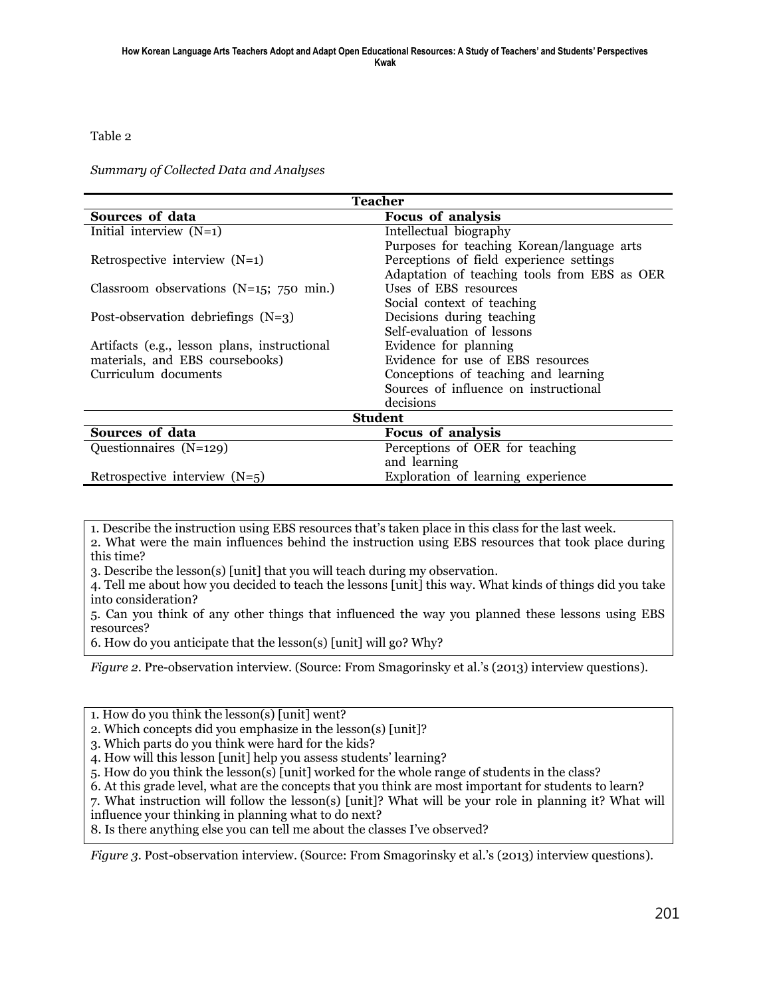Table 2

#### *Summary of Collected Data and Analyses*

| <b>Teacher</b>                               |                                              |  |  |  |  |  |
|----------------------------------------------|----------------------------------------------|--|--|--|--|--|
| Sources of data                              | Focus of analysis                            |  |  |  |  |  |
| Initial interview $(N=1)$                    | Intellectual biography                       |  |  |  |  |  |
|                                              | Purposes for teaching Korean/language arts   |  |  |  |  |  |
| Retrospective interview $(N=1)$              | Perceptions of field experience settings     |  |  |  |  |  |
|                                              | Adaptation of teaching tools from EBS as OER |  |  |  |  |  |
| Classroom observations (N= $15$ ; 750 min.)  | Uses of EBS resources                        |  |  |  |  |  |
|                                              | Social context of teaching                   |  |  |  |  |  |
| Post-observation debriefings $(N=3)$         | Decisions during teaching                    |  |  |  |  |  |
|                                              | Self-evaluation of lessons                   |  |  |  |  |  |
| Artifacts (e.g., lesson plans, instructional | Evidence for planning                        |  |  |  |  |  |
| materials, and EBS coursebooks)              | Evidence for use of EBS resources            |  |  |  |  |  |
| Curriculum documents                         | Conceptions of teaching and learning         |  |  |  |  |  |
|                                              | Sources of influence on instructional        |  |  |  |  |  |
|                                              | decisions                                    |  |  |  |  |  |
| <b>Student</b>                               |                                              |  |  |  |  |  |
| Sources of data                              | Focus of analysis                            |  |  |  |  |  |
| Questionnaires $(N=129)$                     | Perceptions of OER for teaching              |  |  |  |  |  |
|                                              | and learning                                 |  |  |  |  |  |
| Retrospective interview $(N=5)$              | Exploration of learning experience           |  |  |  |  |  |

1. Describe the instruction using EBS resources that's taken place in this class for the last week. 2. What were the main influences behind the instruction using EBS resources that took place during this time?

3. Describe the lesson(s) [unit] that you will teach during my observation.

4. Tell me about how you decided to teach the lessons [unit] this way. What kinds of things did you take into consideration?

5. Can you think of any other things that influenced the way you planned these lessons using EBS resources?

6. How do you anticipate that the lesson(s) [unit] will go? Why?

*Figure 2*. Pre-observation interview. (Source: From Smagorinsky et al.'s (2013) interview questions).

1. How do you think the lesson(s) [unit] went?

- 2. Which concepts did you emphasize in the lesson(s) [unit]?
- 3. Which parts do you think were hard for the kids?
- 4. How will this lesson [unit] help you assess students' learning?
- 5. How do you think the lesson(s) [unit] worked for the whole range of students in the class?
- 6. At this grade level, what are the concepts that you think are most important for students to learn?
- 7. What instruction will follow the lesson(s) [unit]? What will be your role in planning it? What will

influence your thinking in planning what to do next?

8. Is there anything else you can tell me about the classes I've observed?

*Figure 3*. Post-observation interview. (Source: From Smagorinsky et al.'s (2013) interview questions).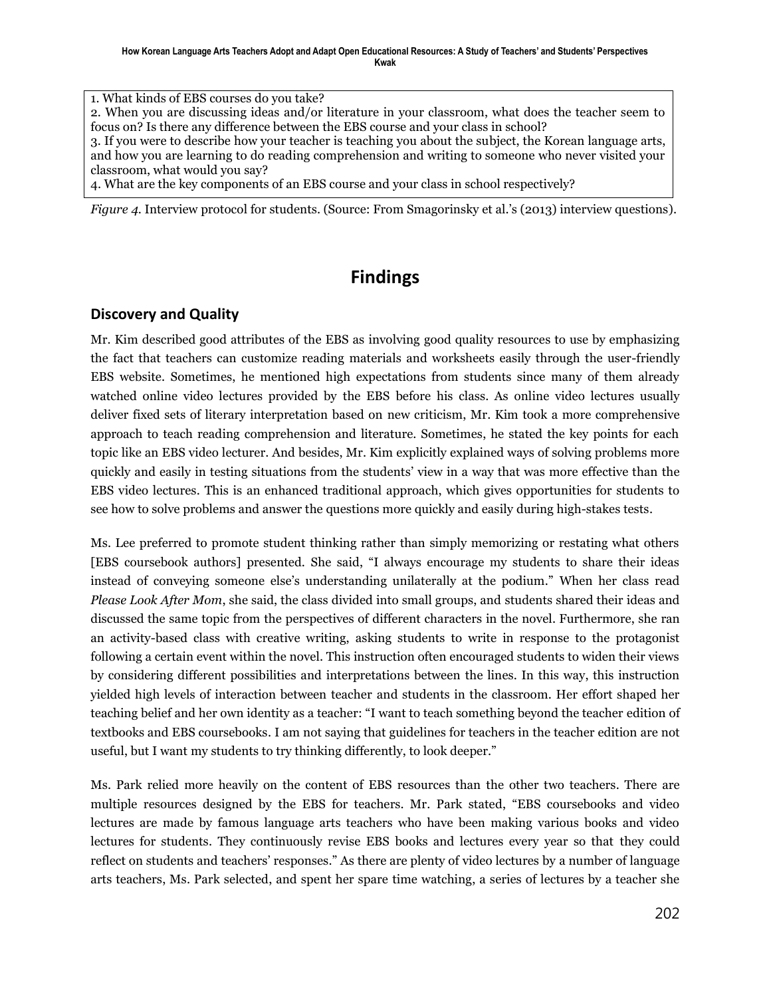1. What kinds of EBS courses do you take?

2. When you are discussing ideas and/or literature in your classroom, what does the teacher seem to focus on? Is there any difference between the EBS course and your class in school?

3. If you were to describe how your teacher is teaching you about the subject, the Korean language arts, and how you are learning to do reading comprehension and writing to someone who never visited your classroom, what would you say?

4. What are the key components of an EBS course and your class in school respectively?

*Figure 4*. Interview protocol for students. (Source: From Smagorinsky et al.'s (2013) interview questions).

# **Findings**

#### **Discovery and Quality**

Mr. Kim described good attributes of the EBS as involving good quality resources to use by emphasizing the fact that teachers can customize reading materials and worksheets easily through the user-friendly EBS website. Sometimes, he mentioned high expectations from students since many of them already watched online video lectures provided by the EBS before his class. As online video lectures usually deliver fixed sets of literary interpretation based on new criticism, Mr. Kim took a more comprehensive approach to teach reading comprehension and literature. Sometimes, he stated the key points for each topic like an EBS video lecturer. And besides, Mr. Kim explicitly explained ways of solving problems more quickly and easily in testing situations from the students' view in a way that was more effective than the EBS video lectures. This is an enhanced traditional approach, which gives opportunities for students to see how to solve problems and answer the questions more quickly and easily during high-stakes tests.

Ms. Lee preferred to promote student thinking rather than simply memorizing or restating what others [EBS coursebook authors] presented. She said, "I always encourage my students to share their ideas instead of conveying someone else's understanding unilaterally at the podium." When her class read *Please Look After Mom*, she said, the class divided into small groups, and students shared their ideas and discussed the same topic from the perspectives of different characters in the novel. Furthermore, she ran an activity-based class with creative writing, asking students to write in response to the protagonist following a certain event within the novel. This instruction often encouraged students to widen their views by considering different possibilities and interpretations between the lines. In this way, this instruction yielded high levels of interaction between teacher and students in the classroom. Her effort shaped her teaching belief and her own identity as a teacher: "I want to teach something beyond the teacher edition of textbooks and EBS coursebooks. I am not saying that guidelines for teachers in the teacher edition are not useful, but I want my students to try thinking differently, to look deeper."

Ms. Park relied more heavily on the content of EBS resources than the other two teachers. There are multiple resources designed by the EBS for teachers. Mr. Park stated, "EBS coursebooks and video lectures are made by famous language arts teachers who have been making various books and video lectures for students. They continuously revise EBS books and lectures every year so that they could reflect on students and teachers' responses." As there are plenty of video lectures by a number of language arts teachers, Ms. Park selected, and spent her spare time watching, a series of lectures by a teacher she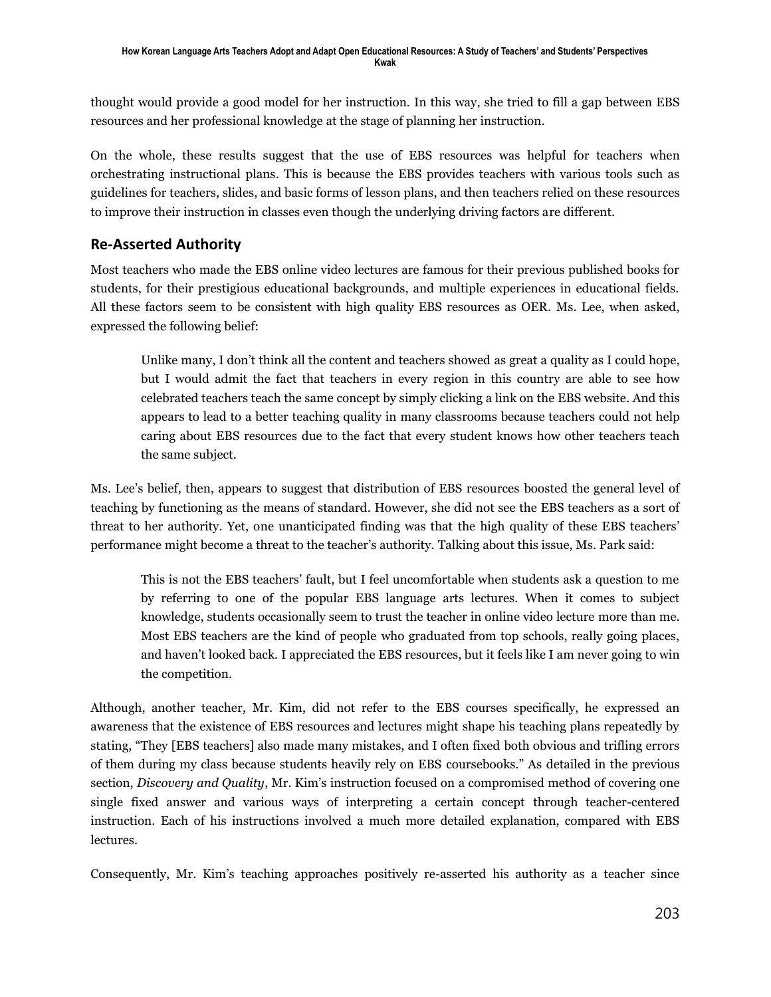thought would provide a good model for her instruction. In this way, she tried to fill a gap between EBS resources and her professional knowledge at the stage of planning her instruction.

On the whole, these results suggest that the use of EBS resources was helpful for teachers when orchestrating instructional plans. This is because the EBS provides teachers with various tools such as guidelines for teachers, slides, and basic forms of lesson plans, and then teachers relied on these resources to improve their instruction in classes even though the underlying driving factors are different.

### **Re-Asserted Authority**

Most teachers who made the EBS online video lectures are famous for their previous published books for students, for their prestigious educational backgrounds, and multiple experiences in educational fields. All these factors seem to be consistent with high quality EBS resources as OER. Ms. Lee, when asked, expressed the following belief:

Unlike many, I don't think all the content and teachers showed as great a quality as I could hope, but I would admit the fact that teachers in every region in this country are able to see how celebrated teachers teach the same concept by simply clicking a link on the EBS website. And this appears to lead to a better teaching quality in many classrooms because teachers could not help caring about EBS resources due to the fact that every student knows how other teachers teach the same subject.

Ms. Lee's belief, then, appears to suggest that distribution of EBS resources boosted the general level of teaching by functioning as the means of standard. However, she did not see the EBS teachers as a sort of threat to her authority. Yet, one unanticipated finding was that the high quality of these EBS teachers' performance might become a threat to the teacher's authority. Talking about this issue, Ms. Park said:

This is not the EBS teachers' fault, but I feel uncomfortable when students ask a question to me by referring to one of the popular EBS language arts lectures. When it comes to subject knowledge, students occasionally seem to trust the teacher in online video lecture more than me. Most EBS teachers are the kind of people who graduated from top schools, really going places, and haven't looked back. I appreciated the EBS resources, but it feels like I am never going to win the competition.

Although, another teacher, Mr. Kim, did not refer to the EBS courses specifically, he expressed an awareness that the existence of EBS resources and lectures might shape his teaching plans repeatedly by stating, "They [EBS teachers] also made many mistakes, and I often fixed both obvious and trifling errors of them during my class because students heavily rely on EBS coursebooks." As detailed in the previous section, *Discovery and Quality*, Mr. Kim's instruction focused on a compromised method of covering one single fixed answer and various ways of interpreting a certain concept through teacher-centered instruction. Each of his instructions involved a much more detailed explanation, compared with EBS lectures.

Consequently, Mr. Kim's teaching approaches positively re-asserted his authority as a teacher since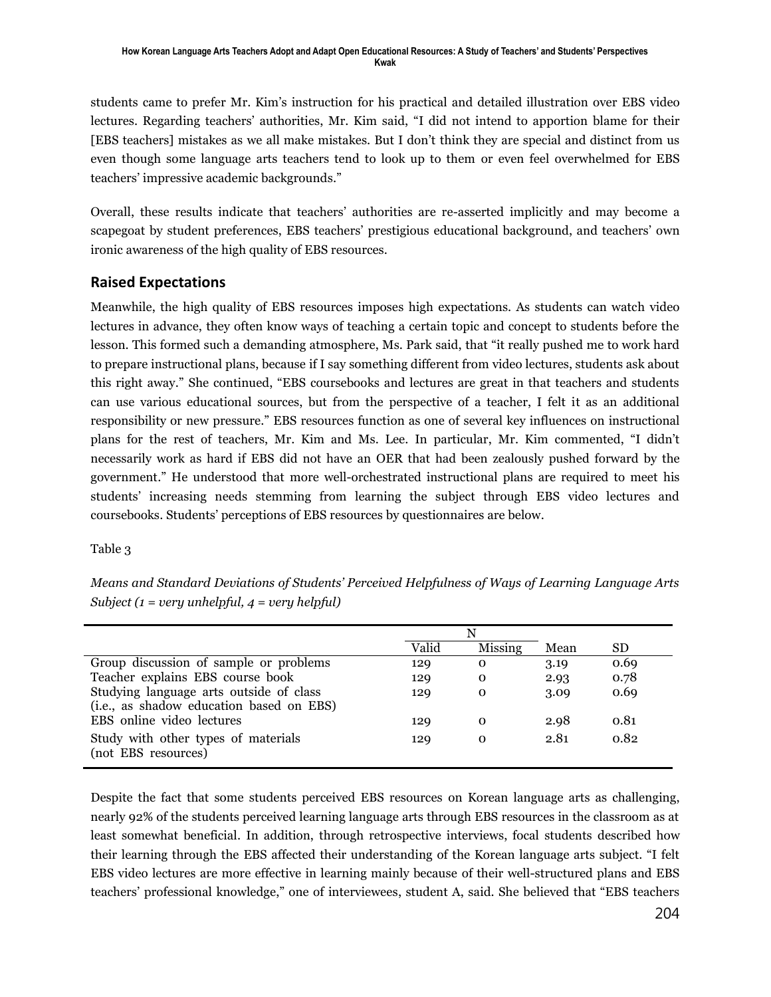students came to prefer Mr. Kim's instruction for his practical and detailed illustration over EBS video lectures. Regarding teachers' authorities, Mr. Kim said, "I did not intend to apportion blame for their [EBS teachers] mistakes as we all make mistakes. But I don't think they are special and distinct from us even though some language arts teachers tend to look up to them or even feel overwhelmed for EBS teachers' impressive academic backgrounds."

Overall, these results indicate that teachers' authorities are re-asserted implicitly and may become a scapegoat by student preferences, EBS teachers' prestigious educational background, and teachers' own ironic awareness of the high quality of EBS resources.

#### **Raised Expectations**

Meanwhile, the high quality of EBS resources imposes high expectations. As students can watch video lectures in advance, they often know ways of teaching a certain topic and concept to students before the lesson. This formed such a demanding atmosphere, Ms. Park said, that "it really pushed me to work hard to prepare instructional plans, because if I say something different from video lectures, students ask about this right away." She continued, "EBS coursebooks and lectures are great in that teachers and students can use various educational sources, but from the perspective of a teacher, I felt it as an additional responsibility or new pressure." EBS resources function as one of several key influences on instructional plans for the rest of teachers, Mr. Kim and Ms. Lee. In particular, Mr. Kim commented, "I didn't necessarily work as hard if EBS did not have an OER that had been zealously pushed forward by the government." He understood that more well-orchestrated instructional plans are required to meet his students' increasing needs stemming from learning the subject through EBS video lectures and coursebooks. Students' perceptions of EBS resources by questionnaires are below.

Table 3

|                                                            | Valid | Missing | Mean | <b>SD</b> |
|------------------------------------------------------------|-------|---------|------|-----------|
| Group discussion of sample or problems                     | 129   | 0       | 3.19 | 0.69      |
| Teacher explains EBS course book                           | 129   | 0       | 2.93 | 0.78      |
| Studying language arts outside of class                    | 129   | 0       | 3.09 | 0.69      |
| (i.e., as shadow education based on EBS)                   |       |         |      |           |
| EBS online video lectures                                  | 129   | 0       | 2.98 | 0.81      |
| Study with other types of materials<br>(not EBS resources) | 129   | O       | 2.81 | 0.82      |

*Means and Standard Deviations of Students' Perceived Helpfulness of Ways of Learning Language Arts Subject (1 = very unhelpful, 4 = very helpful)* 

Despite the fact that some students perceived EBS resources on Korean language arts as challenging, nearly 92% of the students perceived learning language arts through EBS resources in the classroom as at least somewhat beneficial. In addition, through retrospective interviews, focal students described how their learning through the EBS affected their understanding of the Korean language arts subject. "I felt EBS video lectures are more effective in learning mainly because of their well-structured plans and EBS teachers' professional knowledge," one of interviewees, student A, said. She believed that "EBS teachers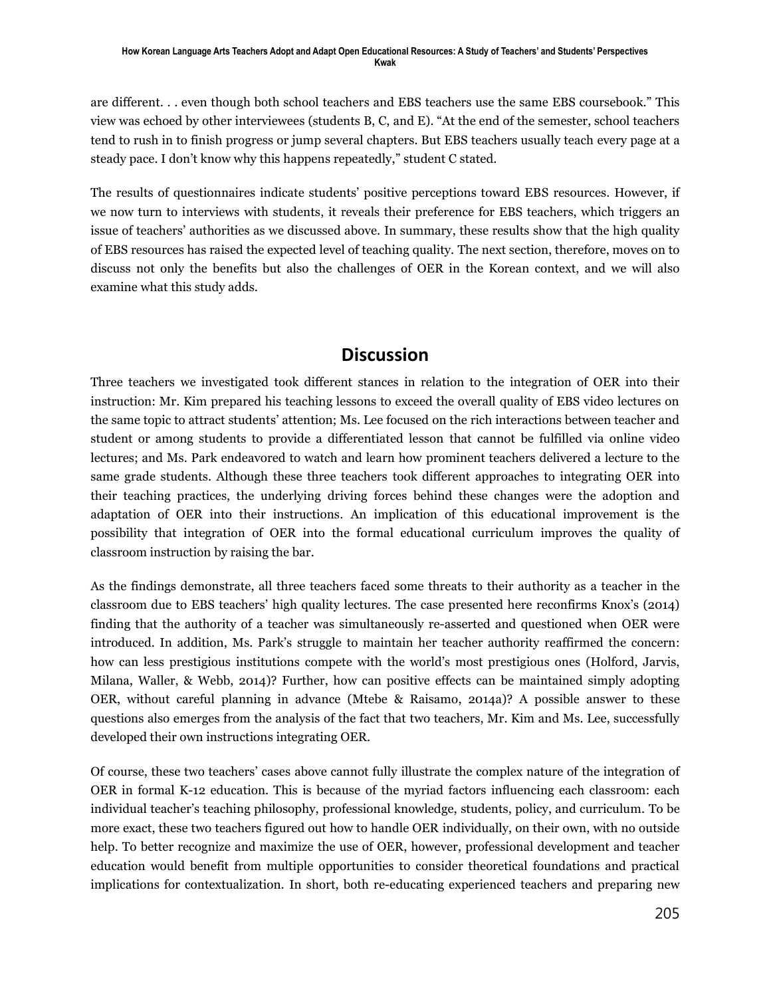are different. . . even though both school teachers and EBS teachers use the same EBS coursebook." This view was echoed by other interviewees (students B, C, and E). "At the end of the semester, school teachers tend to rush in to finish progress or jump several chapters. But EBS teachers usually teach every page at a steady pace. I don't know why this happens repeatedly," student C stated.

The results of questionnaires indicate students' positive perceptions toward EBS resources. However, if we now turn to interviews with students, it reveals their preference for EBS teachers, which triggers an issue of teachers' authorities as we discussed above. In summary, these results show that the high quality of EBS resources has raised the expected level of teaching quality. The next section, therefore, moves on to discuss not only the benefits but also the challenges of OER in the Korean context, and we will also examine what this study adds.

# **Discussion**

Three teachers we investigated took different stances in relation to the integration of OER into their instruction: Mr. Kim prepared his teaching lessons to exceed the overall quality of EBS video lectures on the same topic to attract students' attention; Ms. Lee focused on the rich interactions between teacher and student or among students to provide a differentiated lesson that cannot be fulfilled via online video lectures; and Ms. Park endeavored to watch and learn how prominent teachers delivered a lecture to the same grade students. Although these three teachers took different approaches to integrating OER into their teaching practices, the underlying driving forces behind these changes were the adoption and adaptation of OER into their instructions. An implication of this educational improvement is the possibility that integration of OER into the formal educational curriculum improves the quality of classroom instruction by raising the bar.

As the findings demonstrate, all three teachers faced some threats to their authority as a teacher in the classroom due to EBS teachers' high quality lectures. The case presented here reconfirms Knox's (2014) finding that the authority of a teacher was simultaneously re-asserted and questioned when OER were introduced. In addition, Ms. Park's struggle to maintain her teacher authority reaffirmed the concern: how can less prestigious institutions compete with the world's most prestigious ones (Holford, Jarvis, Milana, Waller, & Webb, 2014)? Further, how can positive effects can be maintained simply adopting OER, without careful planning in advance (Mtebe & Raisamo, 2014a)? A possible answer to these questions also emerges from the analysis of the fact that two teachers, Mr. Kim and Ms. Lee, successfully developed their own instructions integrating OER.

Of course, these two teachers' cases above cannot fully illustrate the complex nature of the integration of OER in formal K-12 education. This is because of the myriad factors influencing each classroom: each individual teacher's teaching philosophy, professional knowledge, students, policy, and curriculum. To be more exact, these two teachers figured out how to handle OER individually, on their own, with no outside help. To better recognize and maximize the use of OER, however, professional development and teacher education would benefit from multiple opportunities to consider theoretical foundations and practical implications for contextualization. In short, both re-educating experienced teachers and preparing new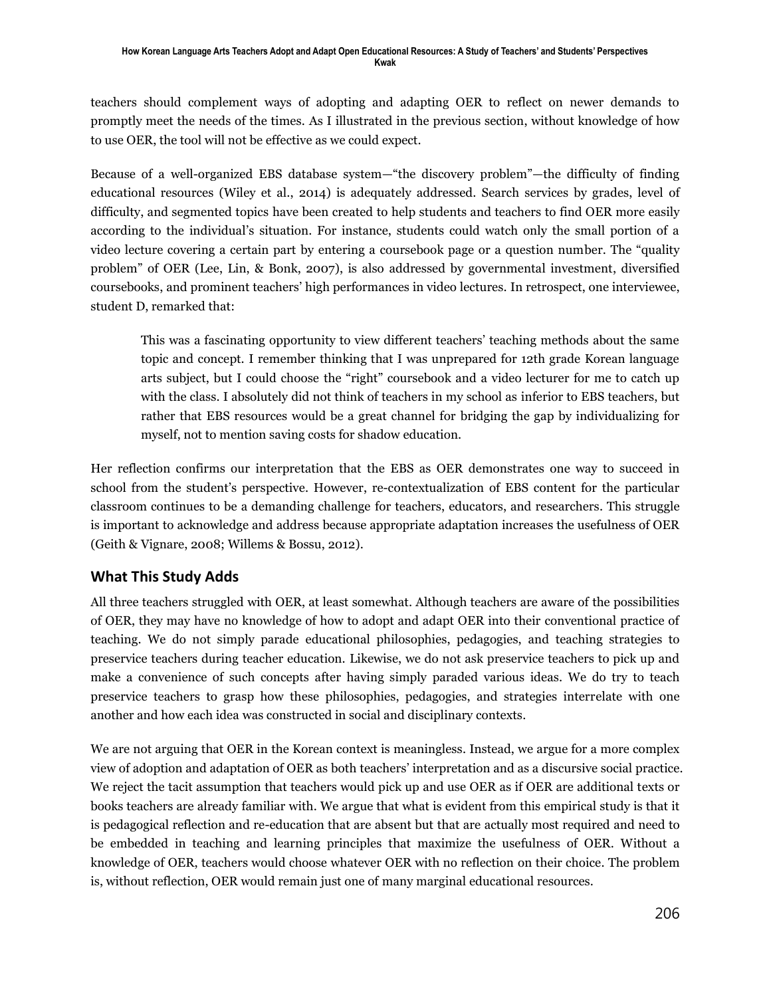teachers should complement ways of adopting and adapting OER to reflect on newer demands to promptly meet the needs of the times. As I illustrated in the previous section, without knowledge of how to use OER, the tool will not be effective as we could expect.

Because of a well-organized EBS database system—"the discovery problem"—the difficulty of finding educational resources (Wiley et al., 2014) is adequately addressed. Search services by grades, level of difficulty, and segmented topics have been created to help students and teachers to find OER more easily according to the individual's situation. For instance, students could watch only the small portion of a video lecture covering a certain part by entering a coursebook page or a question number. The "quality problem" of OER (Lee, Lin, & Bonk, 2007), is also addressed by governmental investment, diversified coursebooks, and prominent teachers' high performances in video lectures. In retrospect, one interviewee, student D, remarked that:

This was a fascinating opportunity to view different teachers' teaching methods about the same topic and concept. I remember thinking that I was unprepared for 12th grade Korean language arts subject, but I could choose the "right" coursebook and a video lecturer for me to catch up with the class. I absolutely did not think of teachers in my school as inferior to EBS teachers, but rather that EBS resources would be a great channel for bridging the gap by individualizing for myself, not to mention saving costs for shadow education.

Her reflection confirms our interpretation that the EBS as OER demonstrates one way to succeed in school from the student's perspective. However, re-contextualization of EBS content for the particular classroom continues to be a demanding challenge for teachers, educators, and researchers. This struggle is important to acknowledge and address because appropriate adaptation increases the usefulness of OER (Geith & Vignare, 2008; Willems & Bossu, 2012).

#### **What This Study Adds**

All three teachers struggled with OER, at least somewhat. Although teachers are aware of the possibilities of OER, they may have no knowledge of how to adopt and adapt OER into their conventional practice of teaching. We do not simply parade educational philosophies, pedagogies, and teaching strategies to preservice teachers during teacher education. Likewise, we do not ask preservice teachers to pick up and make a convenience of such concepts after having simply paraded various ideas. We do try to teach preservice teachers to grasp how these philosophies, pedagogies, and strategies interrelate with one another and how each idea was constructed in social and disciplinary contexts.

We are not arguing that OER in the Korean context is meaningless. Instead, we argue for a more complex view of adoption and adaptation of OER as both teachers' interpretation and as a discursive social practice. We reject the tacit assumption that teachers would pick up and use OER as if OER are additional texts or books teachers are already familiar with. We argue that what is evident from this empirical study is that it is pedagogical reflection and re-education that are absent but that are actually most required and need to be embedded in teaching and learning principles that maximize the usefulness of OER. Without a knowledge of OER, teachers would choose whatever OER with no reflection on their choice. The problem is, without reflection, OER would remain just one of many marginal educational resources.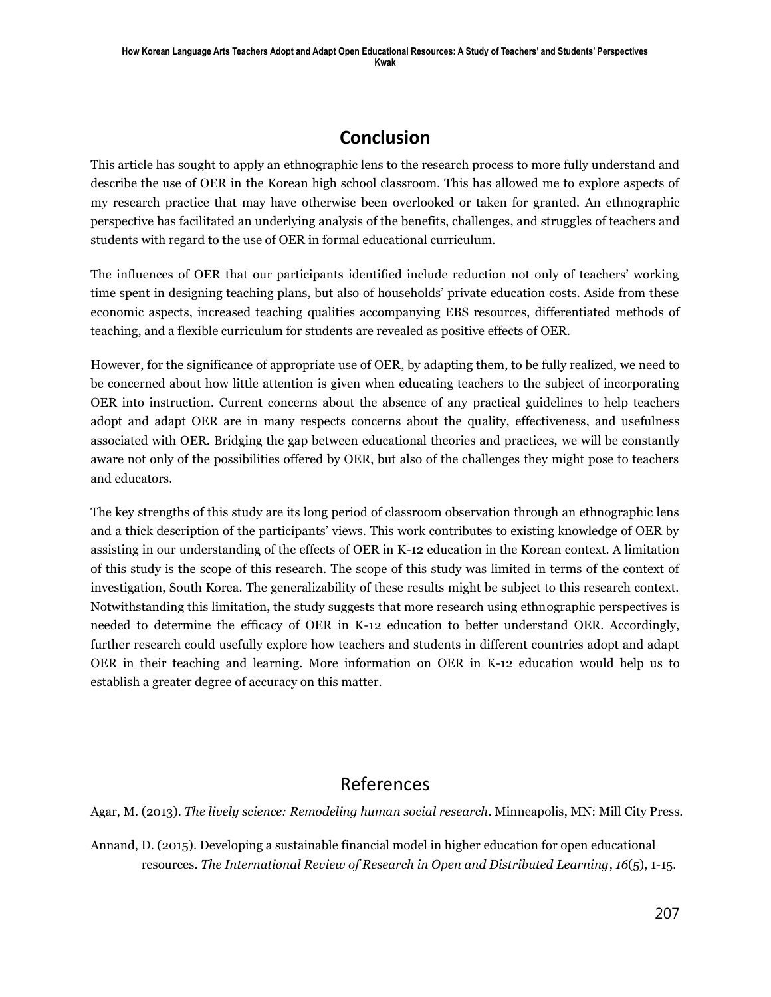# **Conclusion**

This article has sought to apply an ethnographic lens to the research process to more fully understand and describe the use of OER in the Korean high school classroom. This has allowed me to explore aspects of my research practice that may have otherwise been overlooked or taken for granted. An ethnographic perspective has facilitated an underlying analysis of the benefits, challenges, and struggles of teachers and students with regard to the use of OER in formal educational curriculum.

The influences of OER that our participants identified include reduction not only of teachers' working time spent in designing teaching plans, but also of households' private education costs. Aside from these economic aspects, increased teaching qualities accompanying EBS resources, differentiated methods of teaching, and a flexible curriculum for students are revealed as positive effects of OER.

However, for the significance of appropriate use of OER, by adapting them, to be fully realized, we need to be concerned about how little attention is given when educating teachers to the subject of incorporating OER into instruction. Current concerns about the absence of any practical guidelines to help teachers adopt and adapt OER are in many respects concerns about the quality, effectiveness, and usefulness associated with OER. Bridging the gap between educational theories and practices, we will be constantly aware not only of the possibilities offered by OER, but also of the challenges they might pose to teachers and educators.

The key strengths of this study are its long period of classroom observation through an ethnographic lens and a thick description of the participants' views. This work contributes to existing knowledge of OER by assisting in our understanding of the effects of OER in K-12 education in the Korean context. A limitation of this study is the scope of this research. The scope of this study was limited in terms of the context of investigation, South Korea. The generalizability of these results might be subject to this research context. Notwithstanding this limitation, the study suggests that more research using ethnographic perspectives is needed to determine the efficacy of OER in K-12 education to better understand OER. Accordingly, further research could usefully explore how teachers and students in different countries adopt and adapt OER in their teaching and learning. More information on OER in K-12 education would help us to establish a greater degree of accuracy on this matter.

# References

Agar, M. (2013). *The lively science: Remodeling human social research*. Minneapolis, MN: Mill City Press.

Annand, D. (2015). Developing a sustainable financial model in higher education for open educational resources. *The International Review of Research in Open and Distributed Learning*, *16*(5), 1-15.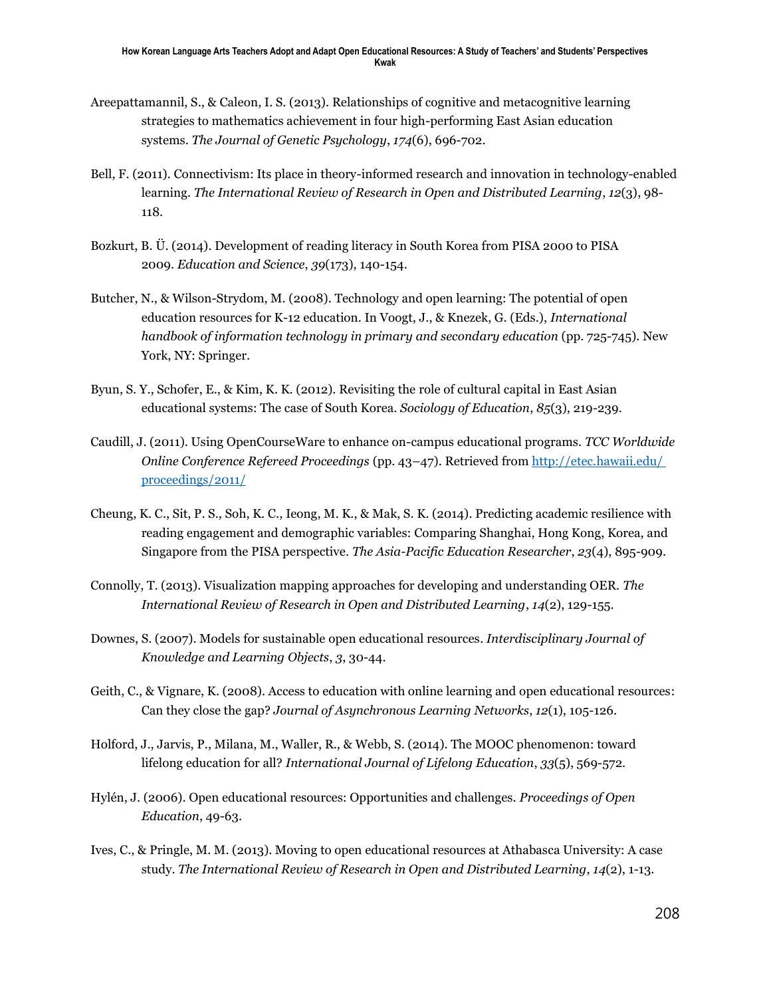- Areepattamannil, S., & Caleon, I. S. (2013). Relationships of cognitive and metacognitive learning strategies to mathematics achievement in four high-performing East Asian education systems. *The Journal of Genetic Psychology*, *174*(6), 696-702.
- Bell, F. (2011). Connectivism: Its place in theory-informed research and innovation in technology-enabled learning. *The International Review of Research in Open and Distributed Learning*, *12*(3), 98- 118.
- Bozkurt, B. Ü. (2014). Development of reading literacy in South Korea from PISA 2000 to PISA 2009. *Education and Science*, *39*(173), 140-154.
- Butcher, N., & Wilson-Strydom, M. (2008). Technology and open learning: The potential of open education resources for K-12 education. In Voogt, J., & Knezek, G. (Eds.), *International handbook of information technology in primary and secondary education* (pp. 725-745). New York, NY: Springer.
- Byun, S. Y., Schofer, E., & Kim, K. K. (2012). Revisiting the role of cultural capital in East Asian educational systems: The case of South Korea. *Sociology of Education*, *85*(3), 219-239.
- Caudill, J. (2011). Using OpenCourseWare to enhance on-campus educational programs. *TCC Worldwide Online Conference Refereed Proceedings* (pp. 43–47). Retrieved fro[m http://etec.hawaii.edu/](http://etec.hawaii.edu/%20proceedings/2011/)  [proceedings/2011/](http://etec.hawaii.edu/%20proceedings/2011/)
- Cheung, K. C., Sit, P. S., Soh, K. C., Ieong, M. K., & Mak, S. K. (2014). Predicting academic resilience with reading engagement and demographic variables: Comparing Shanghai, Hong Kong, Korea, and Singapore from the PISA perspective. *The Asia-Pacific Education Researcher*, *23*(4), 895-909.
- Connolly, T. (2013). Visualization mapping approaches for developing and understanding OER. *The International Review of Research in Open and Distributed Learning*, *14*(2), 129-155.
- Downes, S. (2007). Models for sustainable open educational resources. *Interdisciplinary Journal of Knowledge and Learning Objects*, *3*, 30-44.
- Geith, C., & Vignare, K. (2008). Access to education with online learning and open educational resources: Can they close the gap? *Journal of Asynchronous Learning Networks*, *12*(1), 105-126.
- Holford, J., Jarvis, P., Milana, M., Waller, R., & Webb, S. (2014). The MOOC phenomenon: toward lifelong education for all? *International Journal of Lifelong Education*, *33*(5), 569-572.
- Hylén, J. (2006). Open educational resources: Opportunities and challenges. *Proceedings of Open Education*, 49-63.
- Ives, C., & Pringle, M. M. (2013). Moving to open educational resources at Athabasca University: A case study. *The International Review of Research in Open and Distributed Learning*, *14*(2), 1-13.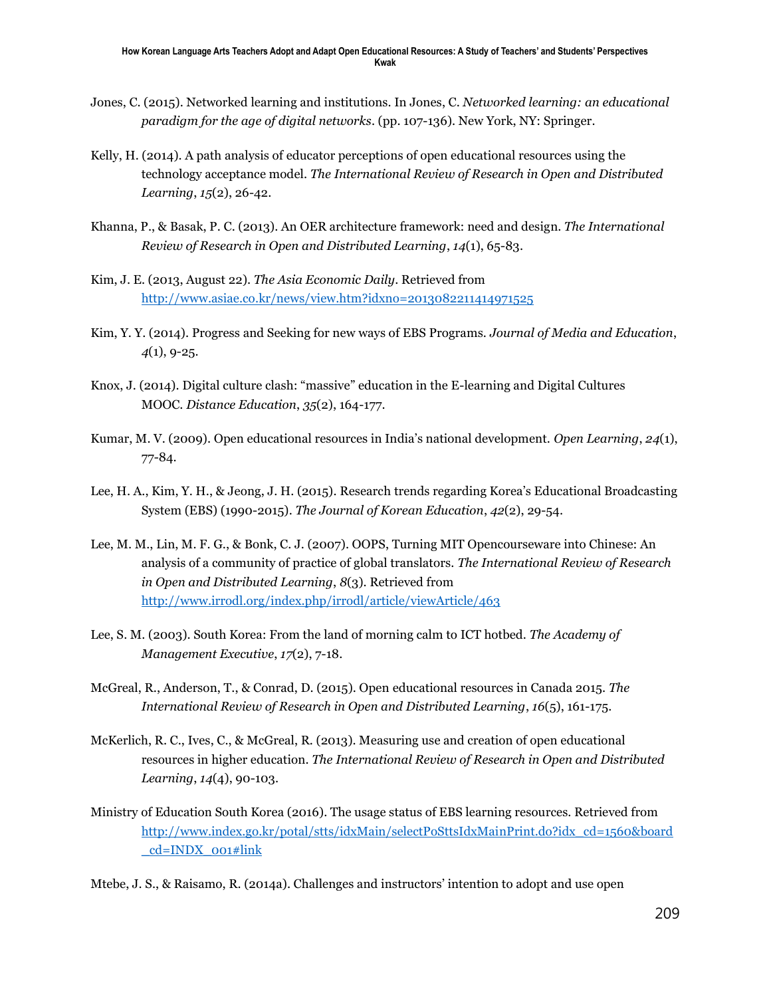- Jones, C. (2015). Networked learning and institutions. In Jones, C. *Networked learning: an educational paradigm for the age of digital networks*. (pp. 107-136). New York, NY: Springer.
- Kelly, H. (2014). A path analysis of educator perceptions of open educational resources using the technology acceptance model. *The International Review of Research in Open and Distributed Learning*, *15*(2), 26-42.
- Khanna, P., & Basak, P. C. (2013). An OER architecture framework: need and design. *The International Review of Research in Open and Distributed Learning*, *14*(1), 65-83.
- Kim, J. E. (2013, August 22). *The Asia Economic Daily*. Retrieved from <http://www.asiae.co.kr/news/view.htm?idxno=2013082211414971525>
- Kim, Y. Y. (2014). Progress and Seeking for new ways of EBS Programs. *Journal of Media and Education*, *4*(1), 9-25.
- Knox, J. (2014). Digital culture clash: "massive" education in the E-learning and Digital Cultures MOOC. *Distance Education*, *35*(2), 164-177.
- Kumar, M. V. (2009). Open educational resources in India's national development. *Open Learning*, *24*(1), 77-84.
- Lee, H. A., Kim, Y. H., & Jeong, J. H. (2015). Research trends regarding Korea's Educational Broadcasting System (EBS) (1990-2015). *The Journal of Korean Education*, *42*(2), 29-54.
- Lee, M. M., Lin, M. F. G., & Bonk, C. J. (2007). OOPS, Turning MIT Opencourseware into Chinese: An analysis of a community of practice of global translators. *The International Review of Research in Open and Distributed Learning*, *8*(3). Retrieved from <http://www.irrodl.org/index.php/irrodl/article/viewArticle/463>
- Lee, S. M. (2003). South Korea: From the land of morning calm to ICT hotbed. *The Academy of Management Executive*, *17*(2), 7-18.
- McGreal, R., Anderson, T., & Conrad, D. (2015). Open educational resources in Canada 2015. *The International Review of Research in Open and Distributed Learning*, *16*(5), 161-175.
- McKerlich, R. C., Ives, C., & McGreal, R. (2013). Measuring use and creation of open educational resources in higher education. *The International Review of Research in Open and Distributed Learning*, *14*(4), 90-103.
- Ministry of Education South Korea (2016). The usage status of EBS learning resources. Retrieved from [http://www.index.go.kr/potal/stts/idxMain/selectPoSttsIdxMainPrint.do?idx\\_cd=1560&board](http://www.index.go.kr/potal/stts/idxMain/selectPoSttsIdxMainPrint.do?idx_cd=1560&board_cd=INDX_001#link) [\\_cd=INDX\\_001#link](http://www.index.go.kr/potal/stts/idxMain/selectPoSttsIdxMainPrint.do?idx_cd=1560&board_cd=INDX_001#link)
- Mtebe, J. S., & Raisamo, R. (2014a). Challenges and instructors' intention to adopt and use open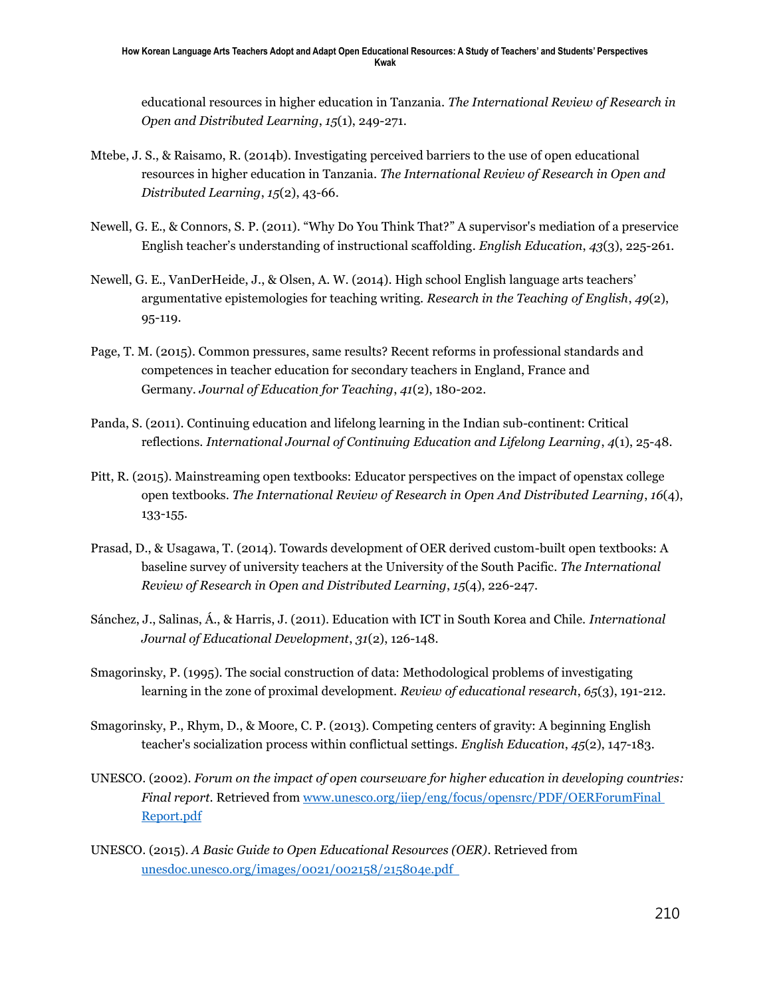educational resources in higher education in Tanzania. *The International Review of Research in Open and Distributed Learning*, *15*(1), 249-271.

- Mtebe, J. S., & Raisamo, R. (2014b). Investigating perceived barriers to the use of open educational resources in higher education in Tanzania. *The International Review of Research in Open and Distributed Learning*, *15*(2), 43-66.
- Newell, G. E., & Connors, S. P. (2011). "Why Do You Think That?" A supervisor's mediation of a preservice English teacher's understanding of instructional scaffolding. *English Education*, *43*(3), 225-261.
- Newell, G. E., VanDerHeide, J., & Olsen, A. W. (2014). High school English language arts teachers' argumentative epistemologies for teaching writing. *Research in the Teaching of English*, *49*(2), 95-119.
- Page, T. M. (2015). Common pressures, same results? Recent reforms in professional standards and competences in teacher education for secondary teachers in England, France and Germany. *Journal of Education for Teaching*, *41*(2), 180-202.
- Panda, S. (2011). Continuing education and lifelong learning in the Indian sub-continent: Critical reflections. *International Journal of Continuing Education and Lifelong Learning*, *4*(1), 25-48.
- Pitt, R. (2015). Mainstreaming open textbooks: Educator perspectives on the impact of openstax college open textbooks. *The International Review of Research in Open And Distributed Learning*, *16*(4), 133-155.
- Prasad, D., & Usagawa, T. (2014). Towards development of OER derived custom-built open textbooks: A baseline survey of university teachers at the University of the South Pacific. *The International Review of Research in Open and Distributed Learning*, *15*(4), 226-247.
- Sánchez, J., Salinas, Á., & Harris, J. (2011). Education with ICT in South Korea and Chile. *International Journal of Educational Development*, *31*(2), 126-148.
- Smagorinsky, P. (1995). The social construction of data: Methodological problems of investigating learning in the zone of proximal development. *Review of educational research*, *65*(3), 191-212.
- Smagorinsky, P., Rhym, D., & Moore, C. P. (2013). Competing centers of gravity: A beginning English teacher's socialization process within conflictual settings. *English Education*, *45*(2), 147-183.
- UNESCO. (2002). *Forum on the impact of open courseware for higher education in developing countries: Final report*. Retrieved from [www.unesco.org/iiep/eng/focus/opensrc/PDF/OERForumFinal](http://www.unesco.org/iiep/eng/focus/opensrc/PDF/OERForumFinal%20Report.pdf)  [Report.pdf](http://www.unesco.org/iiep/eng/focus/opensrc/PDF/OERForumFinal%20Report.pdf)
- UNESCO. (2015). *A Basic Guide to Open Educational Resources (OER)*. Retrieved from [unesdoc.unesco.org/images/0021/002158/215804e.pdf](file:///C:/Users/shenderson/AppData/Local/Temp/unesdoc.unesco.org/images/0021/002158/215804e.pdf)